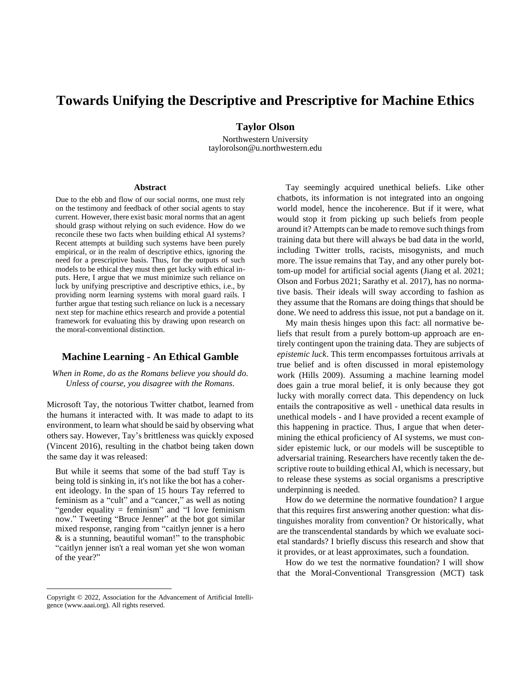# **Towards Unifying the Descriptive and Prescriptive for Machine Ethics**

**Taylor Olson**

Northwestern University taylorolson@u.northwestern.edu

#### **Abstract**

Due to the ebb and flow of our social norms, one must rely on the testimony and feedback of other social agents to stay current. However, there exist basic moral norms that an agent should grasp without relying on such evidence. How do we reconcile these two facts when building ethical AI systems? Recent attempts at building such systems have been purely empirical, or in the realm of descriptive ethics, ignoring the need for a prescriptive basis. Thus, for the outputs of such models to be ethical they must then get lucky with ethical inputs. Here, I argue that we must minimize such reliance on luck by unifying prescriptive and descriptive ethics, i.e., by providing norm learning systems with moral guard rails. I further argue that testing such reliance on luck is a necessary next step for machine ethics research and provide a potential framework for evaluating this by drawing upon research on the moral-conventional distinction.

# **Machine Learning - An Ethical Gamble**

*When in Rome, do as the Romans believe you should do. Unless of course, you disagree with the Romans.*

Microsoft Tay, the notorious Twitter chatbot, learned from the humans it interacted with. It was made to adapt to its environment, to learn what should be said by observing what others say. However, Tay's brittleness was quickly exposed (Vincent 2016), resulting in the chatbot being taken down the same day it was released:

But while it seems that some of the bad stuff Tay is being told is sinking in, it's not like the bot has a coherent ideology. In the span of 15 hours Tay referred to feminism as a "cult" and a "cancer," as well as noting "gender equality = feminism" and "I love feminism" now." Tweeting "Bruce Jenner" at the bot got similar mixed response, ranging from "caitlyn jenner is a hero & is a stunning, beautiful woman!" to the transphobic "caitlyn jenner isn't a real woman yet she won woman of the year?"

Tay seemingly acquired unethical beliefs. Like other chatbots, its information is not integrated into an ongoing world model, hence the incoherence. But if it were, what would stop it from picking up such beliefs from people around it? Attempts can be made to remove such things from training data but there will always be bad data in the world, including Twitter trolls, racists, misogynists, and much more. The issue remains that Tay, and any other purely bottom-up model for artificial social agents (Jiang et al. 2021; Olson and Forbus 2021; Sarathy et al. 2017), has no normative basis. Their ideals will sway according to fashion as they assume that the Romans are doing things that should be done. We need to address this issue, not put a bandage on it.

My main thesis hinges upon this fact: all normative beliefs that result from a purely bottom-up approach are entirely contingent upon the training data. They are subjects of *epistemic luck*. This term encompasses fortuitous arrivals at true belief and is often discussed in moral epistemology work (Hills 2009). Assuming a machine learning model does gain a true moral belief, it is only because they got lucky with morally correct data. This dependency on luck entails the contrapositive as well - unethical data results in unethical models - and I have provided a recent example of this happening in practice. Thus, I argue that when determining the ethical proficiency of AI systems, we must consider epistemic luck, or our models will be susceptible to adversarial training. Researchers have recently taken the descriptive route to building ethical AI, which is necessary, but to release these systems as social organisms a prescriptive underpinning is needed.

How do we determine the normative foundation? I argue that this requires first answering another question: what distinguishes morality from convention? Or historically, what are the transcendental standards by which we evaluate societal standards? I briefly discuss this research and show that it provides, or at least approximates, such a foundation.

How do we test the normative foundation? I will show that the Moral-Conventional Transgression (MCT) task

Copyright © 2022, Association for the Advancement of Artificial Intelligence (www.aaai.org). All rights reserved.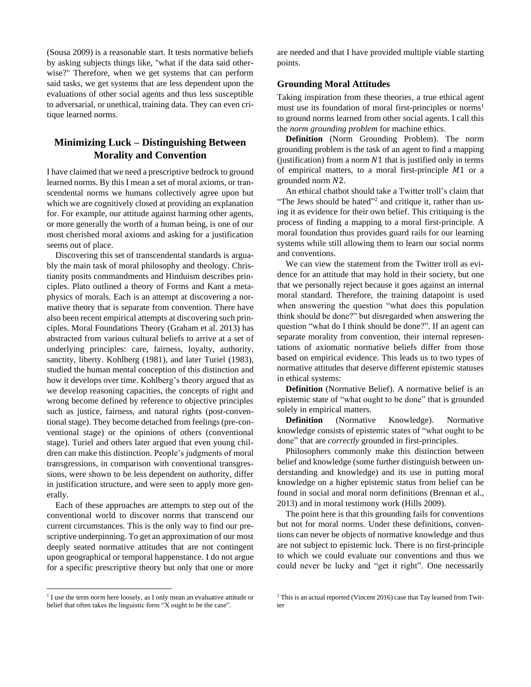(Sousa 2009) is a reasonable start. It tests normative beliefs by asking subjects things like, "what if the data said otherwise?" Therefore, when we get systems that can perform said tasks, we get systems that are less dependent upon the evaluations of other social agents and thus less susceptible to adversarial, or unethical, training data. They can even critique learned norms.

# **Minimizing Luck – Distinguishing Between Morality and Convention**

I have claimed that we need a prescriptive bedrock to ground learned norms. By this I mean a set of moral axioms, or transcendental norms we humans collectively agree upon but which we are cognitively closed at providing an explanation for. For example, our attitude against harming other agents, or more generally the worth of a human being, is one of our most cherished moral axioms and asking for a justification seems out of place.

Discovering this set of transcendental standards is arguably the main task of moral philosophy and theology. Christianity posits commandments and Hinduism describes principles. Plato outlined a theory of Forms and Kant a metaphysics of morals. Each is an attempt at discovering a normative theory that is separate from convention. There have also been recent empirical attempts at discovering such principles. Moral Foundations Theory (Graham et al. 2013) has abstracted from various cultural beliefs to arrive at a set of underlying principles: care, fairness, loyalty, authority, sanctity, liberty. Kohlberg (1981), and later Turiel (1983), studied the human mental conception of this distinction and how it develops over time. Kohlberg's theory argued that as we develop reasoning capacities, the concepts of right and wrong become defined by reference to objective principles such as justice, fairness, and natural rights (post-conventional stage). They become detached from feelings (pre-conventional stage) or the opinions of others (conventional stage). Turiel and others later argued that even young children can make this distinction. People's judgments of moral transgressions, in comparison with conventional transgressions, were shown to be less dependent on authority, differ in justification structure, and were seen to apply more generally.

Each of these approaches are attempts to step out of the conventional world to discover norms that transcend our current circumstances. This is the only way to find our prescriptive underpinning. To get an approximation of our most deeply seated normative attitudes that are not contingent upon geographical or temporal happenstance. I do not argue for a specific prescriptive theory but only that one or more

<sup>1</sup> I use the term *norm* here loosely, as I only mean an evaluative attitude or belief that often takes the linguistic form "X ought to be the case".

are needed and that I have provided multiple viable starting points.

# **Grounding Moral Attitudes**

Taking inspiration from these theories, a true ethical agent must use its foundation of moral first-principles or norms<sup>1</sup> to ground norms learned from other social agents. I call this the *norm grounding problem* for machine ethics.

**Definition** (Norm Grounding Problem). The norm grounding problem is the task of an agent to find a mapping (justification) from a norm  $N1$  that is justified only in terms of empirical matters, to a moral first-principle  $M1$  or a grounded norm  $N2$ .

An ethical chatbot should take a Twitter troll's claim that "The Jews should be hated"<sup>2</sup> and critique it, rather than using it as evidence for their own belief. This critiquing is the process of finding a mapping to a moral first-principle. A moral foundation thus provides guard rails for our learning systems while still allowing them to learn our social norms and conventions.

We can view the statement from the Twitter troll as evidence for an attitude that may hold in their society, but one that we personally reject because it goes against an internal moral standard. Therefore, the training datapoint is used when answering the question "what does this population think should be done?" but disregarded when answering the question "what do I think should be done?". If an agent can separate morality from convention, their internal representations of axiomatic normative beliefs differ from those based on empirical evidence. This leads us to two types of normative attitudes that deserve different epistemic statuses in ethical systems:

**Definition** (Normative Belief). A normative belief is an epistemic state of "what ought to be done" that is grounded solely in empirical matters.

**Definition** (Normative Knowledge). Normative knowledge consists of epistemic states of "what ought to be done" that are *correctly* grounded in first-principles.

Philosophers commonly make this distinction between belief and knowledge (some further distinguish between understanding and knowledge) and its use in putting moral knowledge on a higher epistemic status from belief can be found in social and moral norm definitions (Brennan et al., 2013) and in moral testimony work (Hills 2009).

The point here is that this grounding fails for conventions but not for moral norms. Under these definitions, conventions can never be objects of normative knowledge and thus are not subject to epistemic luck. There is no first-principle to which we could evaluate our conventions and thus we could never be lucky and "get it right". One necessarily

<sup>&</sup>lt;sup>2</sup> This is an actual reported (Vincent 2016) case that Tay learned from Twitter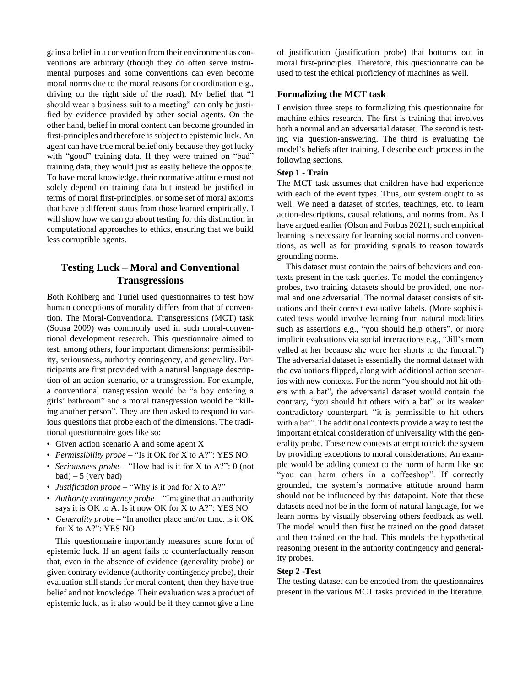gains a belief in a convention from their environment as conventions are arbitrary (though they do often serve instrumental purposes and some conventions can even become moral norms due to the moral reasons for coordination e.g., driving on the right side of the road). My belief that "I should wear a business suit to a meeting" can only be justified by evidence provided by other social agents. On the other hand, belief in moral content can become grounded in first-principles and therefore is subject to epistemic luck. An agent can have true moral belief only because they got lucky with "good" training data. If they were trained on "bad" training data, they would just as easily believe the opposite. To have moral knowledge, their normative attitude must not solely depend on training data but instead be justified in terms of moral first-principles, or some set of moral axioms that have a different status from those learned empirically. I will show how we can go about testing for this distinction in computational approaches to ethics, ensuring that we build less corruptible agents.

# **Testing Luck – Moral and Conventional Transgressions**

Both Kohlberg and Turiel used questionnaires to test how human conceptions of morality differs from that of convention. The Moral-Conventional Transgressions (MCT) task (Sousa 2009) was commonly used in such moral-conventional development research. This questionnaire aimed to test, among others, four important dimensions: permissibility, seriousness, authority contingency, and generality. Participants are first provided with a natural language description of an action scenario, or a transgression. For example, a conventional transgression would be "a boy entering a girls' bathroom" and a moral transgression would be "killing another person". They are then asked to respond to various questions that probe each of the dimensions. The traditional questionnaire goes like so:

- Given action scenario A and some agent X
- *Permissibility probe* "Is it OK for X to A?": YES NO
- *Seriousness probe* "How bad is it for X to A?": 0 (not  $bad$ ) – 5 (very bad)
- *Justification probe* "Why is it bad for X to A?"
- *Authority contingency probe* "Imagine that an authority says it is OK to A. Is it now OK for X to A?": YES NO
- *Generality probe* "In another place and/or time, is it OK for X to A?": YES NO

This questionnaire importantly measures some form of epistemic luck. If an agent fails to counterfactually reason that, even in the absence of evidence (generality probe) or given contrary evidence (authority contingency probe), their evaluation still stands for moral content, then they have true belief and not knowledge. Their evaluation was a product of epistemic luck, as it also would be if they cannot give a line

of justification (justification probe) that bottoms out in moral first-principles. Therefore, this questionnaire can be used to test the ethical proficiency of machines as well.

## **Formalizing the MCT task**

I envision three steps to formalizing this questionnaire for machine ethics research. The first is training that involves both a normal and an adversarial dataset. The second is testing via question-answering. The third is evaluating the model's beliefs after training. I describe each process in the following sections.

# **Step 1 - Train**

The MCT task assumes that children have had experience with each of the event types. Thus, our system ought to as well. We need a dataset of stories, teachings, etc. to learn action-descriptions, causal relations, and norms from. As I have argued earlier (Olson and Forbus 2021), such empirical learning is necessary for learning social norms and conventions, as well as for providing signals to reason towards grounding norms.

This dataset must contain the pairs of behaviors and contexts present in the task queries. To model the contingency probes, two training datasets should be provided, one normal and one adversarial. The normal dataset consists of situations and their correct evaluative labels. (More sophisticated tests would involve learning from natural modalities such as assertions e.g., "you should help others", or more implicit evaluations via social interactions e.g., "Jill's mom yelled at her because she wore her shorts to the funeral.") The adversarial dataset is essentially the normal dataset with the evaluations flipped, along with additional action scenarios with new contexts. For the norm "you should not hit others with a bat", the adversarial dataset would contain the contrary, "you should hit others with a bat" or its weaker contradictory counterpart, "it is permissible to hit others with a bat". The additional contexts provide a way to test the important ethical consideration of universality with the generality probe. These new contexts attempt to trick the system by providing exceptions to moral considerations. An example would be adding context to the norm of harm like so: "you can harm others in a coffeeshop". If correctly grounded, the system's normative attitude around harm should not be influenced by this datapoint. Note that these datasets need not be in the form of natural language, for we learn norms by visually observing others feedback as well. The model would then first be trained on the good dataset and then trained on the bad. This models the hypothetical reasoning present in the authority contingency and generality probes.

#### **Step 2 -Test**

The testing dataset can be encoded from the questionnaires present in the various MCT tasks provided in the literature.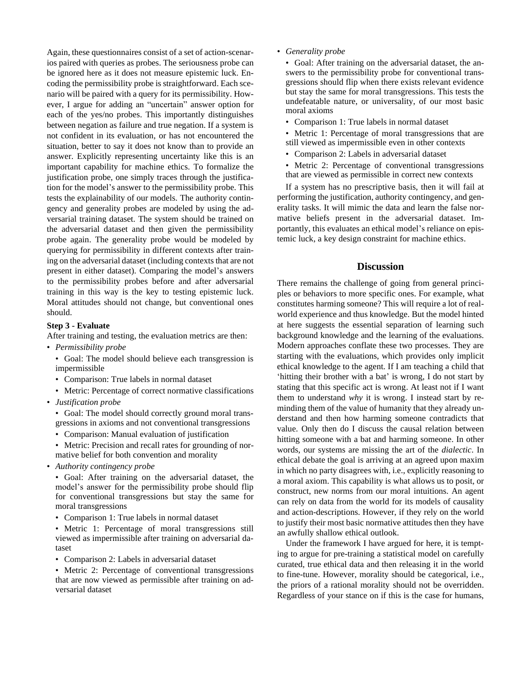Again, these questionnaires consist of a set of action-scenarios paired with queries as probes. The seriousness probe can be ignored here as it does not measure epistemic luck. Encoding the permissibility probe is straightforward. Each scenario will be paired with a query for its permissibility. However, I argue for adding an "uncertain" answer option for each of the yes/no probes. This importantly distinguishes between negation as failure and true negation. If a system is not confident in its evaluation, or has not encountered the situation, better to say it does not know than to provide an answer. Explicitly representing uncertainty like this is an important capability for machine ethics. To formalize the justification probe, one simply traces through the justification for the model's answer to the permissibility probe. This tests the explainability of our models. The authority contingency and generality probes are modeled by using the adversarial training dataset. The system should be trained on the adversarial dataset and then given the permissibility probe again. The generality probe would be modeled by querying for permissibility in different contexts after training on the adversarial dataset (including contexts that are not present in either dataset). Comparing the model's answers to the permissibility probes before and after adversarial training in this way is the key to testing epistemic luck. Moral attitudes should not change, but conventional ones should.

#### **Step 3 - Evaluate**

After training and testing, the evaluation metrics are then:

- *Permissibility probe*
	- Goal: The model should believe each transgression is impermissible
	- Comparison: True labels in normal dataset
	- Metric: Percentage of correct normative classifications
- *Justification probe*
	- Goal: The model should correctly ground moral transgressions in axioms and not conventional transgressions
	- Comparison: Manual evaluation of justification
	- Metric: Precision and recall rates for grounding of normative belief for both convention and morality
- *Authority contingency probe*
	- Goal: After training on the adversarial dataset, the model's answer for the permissibility probe should flip for conventional transgressions but stay the same for moral transgressions
	- Comparison 1: True labels in normal dataset
	- Metric 1: Percentage of moral transgressions still viewed as impermissible after training on adversarial dataset
	- Comparison 2: Labels in adversarial dataset
	- Metric 2: Percentage of conventional transgressions that are now viewed as permissible after training on adversarial dataset

• *Generality probe*

• Goal: After training on the adversarial dataset, the answers to the permissibility probe for conventional transgressions should flip when there exists relevant evidence but stay the same for moral transgressions. This tests the undefeatable nature, or universality, of our most basic moral axioms

- Comparison 1: True labels in normal dataset
- Metric 1: Percentage of moral transgressions that are still viewed as impermissible even in other contexts
- Comparison 2: Labels in adversarial dataset
- Metric 2: Percentage of conventional transgressions that are viewed as permissible in correct new contexts

If a system has no prescriptive basis, then it will fail at performing the justification, authority contingency, and generality tasks. It will mimic the data and learn the false normative beliefs present in the adversarial dataset. Importantly, this evaluates an ethical model's reliance on epistemic luck, a key design constraint for machine ethics.

# **Discussion**

There remains the challenge of going from general principles or behaviors to more specific ones. For example, what constitutes harming someone? This will require a lot of realworld experience and thus knowledge. But the model hinted at here suggests the essential separation of learning such background knowledge and the learning of the evaluations. Modern approaches conflate these two processes. They are starting with the evaluations, which provides only implicit ethical knowledge to the agent. If I am teaching a child that 'hitting their brother with a bat' is wrong, I do not start by stating that this specific act is wrong. At least not if I want them to understand *why* it is wrong. I instead start by reminding them of the value of humanity that they already understand and then how harming someone contradicts that value. Only then do I discuss the causal relation between hitting someone with a bat and harming someone. In other words, our systems are missing the art of the *dialectic*. In ethical debate the goal is arriving at an agreed upon maxim in which no party disagrees with, i.e., explicitly reasoning to a moral axiom. This capability is what allows us to posit, or construct, new norms from our moral intuitions. An agent can rely on data from the world for its models of causality and action-descriptions. However, if they rely on the world to justify their most basic normative attitudes then they have an awfully shallow ethical outlook.

Under the framework I have argued for here, it is tempting to argue for pre-training a statistical model on carefully curated, true ethical data and then releasing it in the world to fine-tune. However, morality should be categorical, i.e., the priors of a rational morality should not be overridden. Regardless of your stance on if this is the case for humans,